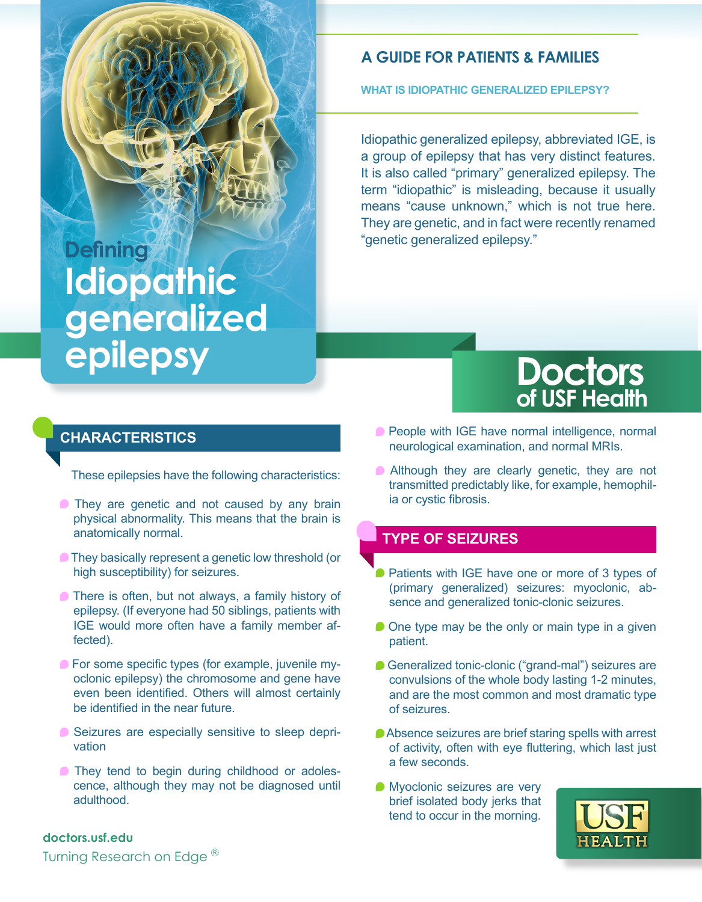# **Defining Idiopathic generalized epilepsy**

#### **A GUIDE FOR PATIENTS & FAMILIES**

**WHAT IS IDIOPATHIC GENERALIZED EPILEPSY?**

Idiopathic generalized epilepsy, abbreviated IGE, is a group of epilepsy that has very distinct features. It is also called "primary" generalized epilepsy. The term "idiopathic" is misleading, because it usually means "cause unknown," which is not true here. They are genetic, and in fact were recently renamed "genetic generalized epilepsy."

## **Doctors of USF Health**

#### **CHARACTERISTICS**

These epilepsies have the following characteristics:

- **They are genetic and not caused by any brain** physical abnormality. This means that the brain is anatomically normal.
- **They basically represent a genetic low threshold (or** high susceptibility) for seizures.
- **There is often, but not always, a family history of** epilepsy. (If everyone had 50 siblings, patients with IGE would more often have a family member affected).
- **For some specific types (for example, juvenile my**oclonic epilepsy) the chromosome and gene have even been identified. Others will almost certainly be identified in the near future.
- Seizures are especially sensitive to sleep deprivation
- **They tend to begin during childhood or adoles**cence, although they may not be diagnosed until adulthood.
- **People with IGE have normal intelligence, normal** neurological examination, and normal MRIs.
- **Although they are clearly genetic, they are not** transmitted predictably like, for example, hemophilia or cystic fibrosis.

#### **TYPE OF SEIZURES**

- **Patients with IGE have one or more of 3 types of** (primary generalized) seizures: myoclonic, absence and generalized tonic-clonic seizures.
- $\bullet$  One type may be the only or main type in a given patient.
- Generalized tonic-clonic ("grand-mal") seizures are convulsions of the whole body lasting 1-2 minutes, and are the most common and most dramatic type of seizures.
- Absence seizures are brief staring spells with arrest of activity, often with eye fluttering, which last just a few seconds.
- **Myoclonic seizures are very** brief isolated body jerks that tend to occur in the morning.



#### **doctors.usf.edu**

Turning Research on Edge<sup>®</sup>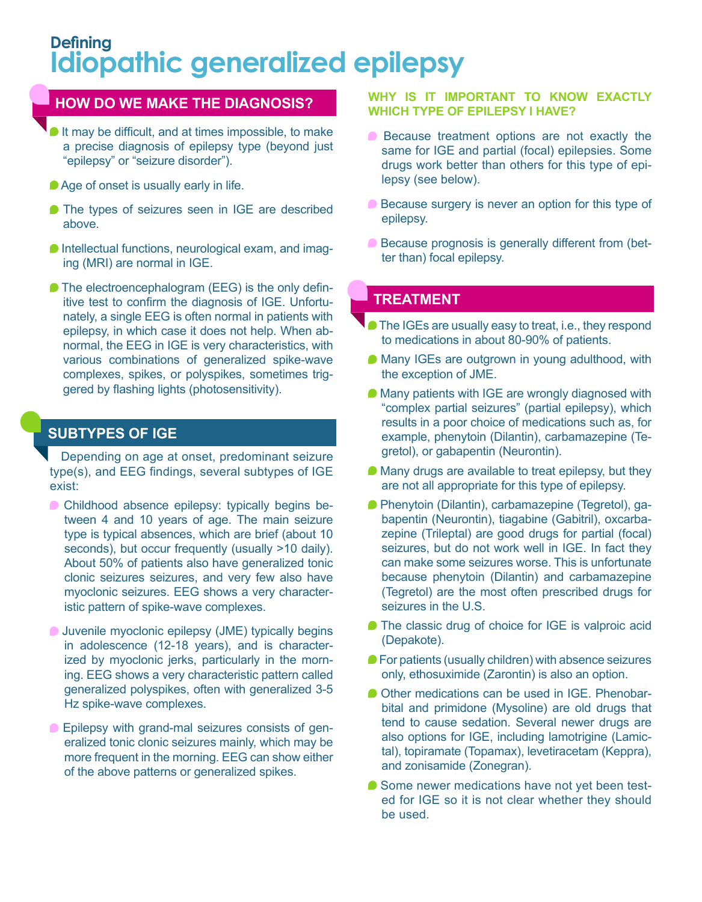## **Defining Idiopathic generalized epilepsy**

#### **HOW DO WE MAKE THE DIAGNOSIS?**

- It may be difficult, and at times impossible, to make a precise diagnosis of epilepsy type (beyond just "epilepsy" or "seizure disorder").
- Age of onset is usually early in life.
- The types of seizures seen in IGE are described above.
- **Intellectual functions, neurological exam, and imag**ing (MRI) are normal in IGE.
- The electroencephalogram (EEG) is the only definitive test to confirm the diagnosis of IGE. Unfortunately, a single EEG is often normal in patients with epilepsy, in which case it does not help. When abnormal, the EEG in IGE is very characteristics, with various combinations of generalized spike-wave complexes, spikes, or polyspikes, sometimes triggered by flashing lights (photosensitivity).

#### **SUBTYPES OF IGE**

Depending on age at onset, predominant seizure type(s), and EEG findings, several subtypes of IGE exist:

- **Childhood absence epilepsy: typically begins be**tween 4 and 10 years of age. The main seizure type is typical absences, which are brief (about 10 seconds), but occur frequently (usually >10 daily). About 50% of patients also have generalized tonic clonic seizures seizures, and very few also have myoclonic seizures. EEG shows a very characteristic pattern of spike-wave complexes.
- **Juvenile myoclonic epilepsy (JME) typically begins** in adolescence (12-18 years), and is characterized by myoclonic jerks, particularly in the morning. EEG shows a very characteristic pattern called generalized polyspikes, often with generalized 3-5 Hz spike-wave complexes.
- **Epilepsy with grand-mal seizures consists of gen**eralized tonic clonic seizures mainly, which may be more frequent in the morning. EEG can show either of the above patterns or generalized spikes.

#### **WHY IS IT IMPORTANT TO KNOW EXACTLY WHICH TYPE OF EPILEPSY I HAVE?**

- Because treatment options are not exactly the same for IGE and partial (focal) epilepsies. Some drugs work better than others for this type of epilepsy (see below).
- Because surgery is never an option for this type of epilepsy.
- **Because prognosis is generally different from (bet**ter than) focal epilepsy.

#### **TREATMENT**

- The IGEs are usually easy to treat, i.e., they respond to medications in about 80-90% of patients.
- Many IGEs are outgrown in young adulthood, with the exception of JME.
- Many patients with IGE are wrongly diagnosed with "complex partial seizures" (partial epilepsy), which results in a poor choice of medications such as, for example, phenytoin (Dilantin), carbamazepine (Tegretol), or gabapentin (Neurontin).
- Many drugs are available to treat epilepsy, but they are not all appropriate for this type of epilepsy.
- Phenytoin (Dilantin), carbamazepine (Tegretol), gabapentin (Neurontin), tiagabine (Gabitril), oxcarbazepine (Trileptal) are good drugs for partial (focal) seizures, but do not work well in IGE. In fact they can make some seizures worse. This is unfortunate because phenytoin (Dilantin) and carbamazepine (Tegretol) are the most often prescribed drugs for seizures in the U.S.
- The classic drug of choice for IGE is valproic acid (Depakote).
- **For patients (usually children) with absence seizures** only, ethosuximide (Zarontin) is also an option.
- Other medications can be used in IGE. Phenobarbital and primidone (Mysoline) are old drugs that tend to cause sedation. Several newer drugs are also options for IGE, including lamotrigine (Lamictal), topiramate (Topamax), levetiracetam (Keppra), and zonisamide (Zonegran).
- Some newer medications have not yet been tested for IGE so it is not clear whether they should be used.